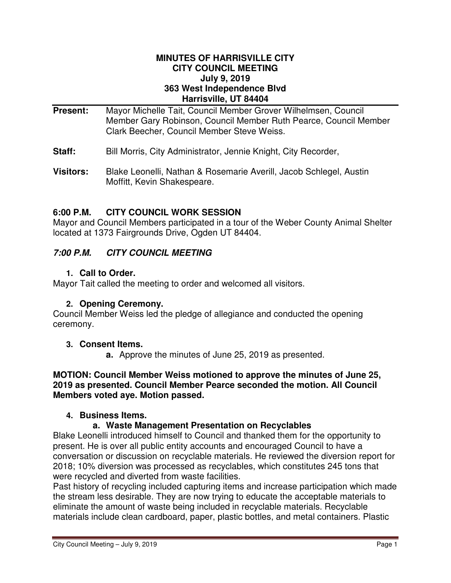#### **MINUTES OF HARRISVILLE CITY CITY COUNCIL MEETING July 9, 2019 363 West Independence Blvd Harrisville, UT 84404**

- **Present:** Mayor Michelle Tait, Council Member Grover Wilhelmsen, Council Member Gary Robinson, Council Member Ruth Pearce, Council Member Clark Beecher, Council Member Steve Weiss.
- **Staff:** Bill Morris, City Administrator, Jennie Knight, City Recorder,
- **Visitors:** Blake Leonelli, Nathan & Rosemarie Averill, Jacob Schlegel, Austin Moffitt, Kevin Shakespeare.

## **6:00 P.M. CITY COUNCIL WORK SESSION**

Mayor and Council Members participated in a tour of the Weber County Animal Shelter located at 1373 Fairgrounds Drive, Ogden UT 84404.

# **7:00 P.M. CITY COUNCIL MEETING**

#### **1. Call to Order.**

Mayor Tait called the meeting to order and welcomed all visitors.

#### **2. Opening Ceremony.**

Council Member Weiss led the pledge of allegiance and conducted the opening ceremony.

#### **3. Consent Items.**

**a.** Approve the minutes of June 25, 2019 as presented.

#### **MOTION: Council Member Weiss motioned to approve the minutes of June 25, 2019 as presented. Council Member Pearce seconded the motion. All Council Members voted aye. Motion passed.**

#### **4. Business Items.**

#### **a. Waste Management Presentation on Recyclables**

Blake Leonelli introduced himself to Council and thanked them for the opportunity to present. He is over all public entity accounts and encouraged Council to have a conversation or discussion on recyclable materials. He reviewed the diversion report for 2018; 10% diversion was processed as recyclables, which constitutes 245 tons that were recycled and diverted from waste facilities.

Past history of recycling included capturing items and increase participation which made the stream less desirable. They are now trying to educate the acceptable materials to eliminate the amount of waste being included in recyclable materials. Recyclable materials include clean cardboard, paper, plastic bottles, and metal containers. Plastic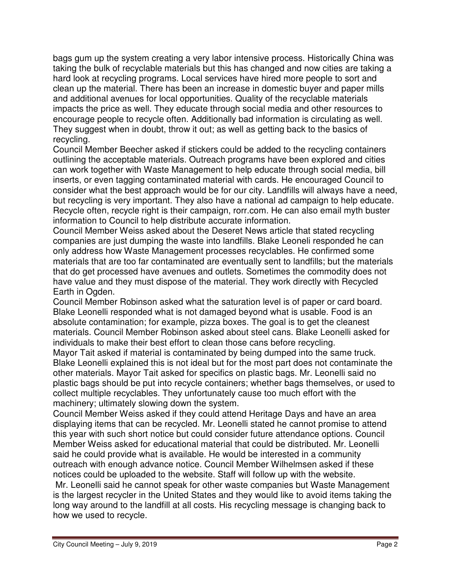bags gum up the system creating a very labor intensive process. Historically China was taking the bulk of recyclable materials but this has changed and now cities are taking a hard look at recycling programs. Local services have hired more people to sort and clean up the material. There has been an increase in domestic buyer and paper mills and additional avenues for local opportunities. Quality of the recyclable materials impacts the price as well. They educate through social media and other resources to encourage people to recycle often. Additionally bad information is circulating as well. They suggest when in doubt, throw it out; as well as getting back to the basics of recycling.

Council Member Beecher asked if stickers could be added to the recycling containers outlining the acceptable materials. Outreach programs have been explored and cities can work together with Waste Management to help educate through social media, bill inserts, or even tagging contaminated material with cards. He encouraged Council to consider what the best approach would be for our city. Landfills will always have a need, but recycling is very important. They also have a national ad campaign to help educate. Recycle often, recycle right is their campaign, rorr.com. He can also email myth buster information to Council to help distribute accurate information.

Council Member Weiss asked about the Deseret News article that stated recycling companies are just dumping the waste into landfills. Blake Leoneli responded he can only address how Waste Management processes recyclables. He confirmed some materials that are too far contaminated are eventually sent to landfills; but the materials that do get processed have avenues and outlets. Sometimes the commodity does not have value and they must dispose of the material. They work directly with Recycled Earth in Ogden.

Council Member Robinson asked what the saturation level is of paper or card board. Blake Leonelli responded what is not damaged beyond what is usable. Food is an absolute contamination; for example, pizza boxes. The goal is to get the cleanest materials. Council Member Robinson asked about steel cans. Blake Leonelli asked for individuals to make their best effort to clean those cans before recycling.

Mayor Tait asked if material is contaminated by being dumped into the same truck. Blake Leonelli explained this is not ideal but for the most part does not contaminate the other materials. Mayor Tait asked for specifics on plastic bags. Mr. Leonelli said no plastic bags should be put into recycle containers; whether bags themselves, or used to collect multiple recyclables. They unfortunately cause too much effort with the machinery; ultimately slowing down the system.

Council Member Weiss asked if they could attend Heritage Days and have an area displaying items that can be recycled. Mr. Leonelli stated he cannot promise to attend this year with such short notice but could consider future attendance options. Council Member Weiss asked for educational material that could be distributed. Mr. Leonelli said he could provide what is available. He would be interested in a community outreach with enough advance notice. Council Member Wilhelmsen asked if these notices could be uploaded to the website. Staff will follow up with the website.

 Mr. Leonelli said he cannot speak for other waste companies but Waste Management is the largest recycler in the United States and they would like to avoid items taking the long way around to the landfill at all costs. His recycling message is changing back to how we used to recycle.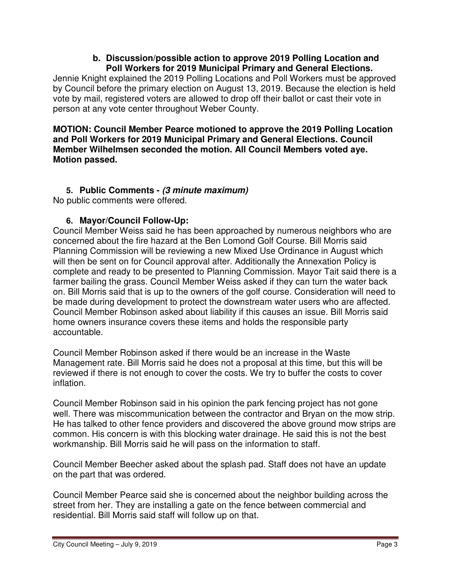#### **b. Discussion/possible action to approve 2019 Polling Location and Poll Workers for 2019 Municipal Primary and General Elections.**

Jennie Knight explained the 2019 Polling Locations and Poll Workers must be approved by Council before the primary election on August 13, 2019. Because the election is held vote by mail, registered voters are allowed to drop off their ballot or cast their vote in person at any vote center throughout Weber County.

**MOTION: Council Member Pearce motioned to approve the 2019 Polling Location and Poll Workers for 2019 Municipal Primary and General Elections. Council Member Wilhelmsen seconded the motion. All Council Members voted aye. Motion passed.** 

# **5. Public Comments - (3 minute maximum)**

No public comments were offered.

## **6. Mayor/Council Follow-Up:**

Council Member Weiss said he has been approached by numerous neighbors who are concerned about the fire hazard at the Ben Lomond Golf Course. Bill Morris said Planning Commission will be reviewing a new Mixed Use Ordinance in August which will then be sent on for Council approval after. Additionally the Annexation Policy is complete and ready to be presented to Planning Commission. Mayor Tait said there is a farmer bailing the grass. Council Member Weiss asked if they can turn the water back on. Bill Morris said that is up to the owners of the golf course. Consideration will need to be made during development to protect the downstream water users who are affected. Council Member Robinson asked about liability if this causes an issue. Bill Morris said home owners insurance covers these items and holds the responsible party accountable.

Council Member Robinson asked if there would be an increase in the Waste Management rate. Bill Morris said he does not a proposal at this time, but this will be reviewed if there is not enough to cover the costs. We try to buffer the costs to cover inflation.

Council Member Robinson said in his opinion the park fencing project has not gone well. There was miscommunication between the contractor and Bryan on the mow strip. He has talked to other fence providers and discovered the above ground mow strips are common. His concern is with this blocking water drainage. He said this is not the best workmanship. Bill Morris said he will pass on the information to staff.

Council Member Beecher asked about the splash pad. Staff does not have an update on the part that was ordered.

Council Member Pearce said she is concerned about the neighbor building across the street from her. They are installing a gate on the fence between commercial and residential. Bill Morris said staff will follow up on that.